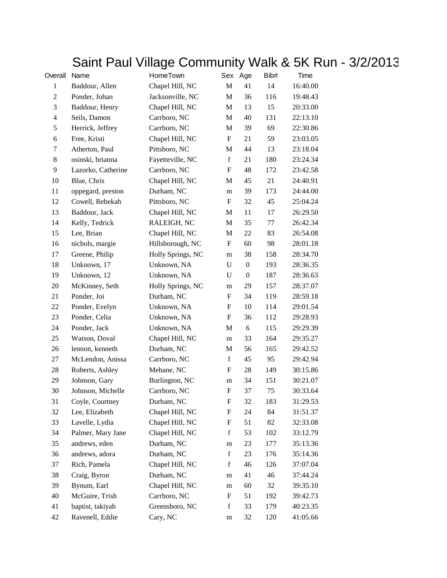## Saint Paul Village Community Walk & 5K Run - 3/2/2013

| Overall        | Name               | HomeTown          | Sex                       | Age              | Bib# | Time     |
|----------------|--------------------|-------------------|---------------------------|------------------|------|----------|
| $\mathbf{1}$   | Baddour, Allen     | Chapel Hill, NC   | M                         | 41               | 14   | 16:40.00 |
| $\overline{c}$ | Ponder, Johan      | Jacksonville, NC  | $\mathbf M$               | 36               | 116  | 19:48.43 |
| 3              | Baddour, Henry     | Chapel Hill, NC   | $\mathbf M$               | 13               | 15   | 20:33.00 |
| $\overline{4}$ | Seils, Damon       | Carrboro, NC      | M                         | 40               | 131  | 22:13.10 |
| 5              | Herrick, Jeffrey   | Carrboro, NC      | M                         | 39               | 69   | 22:30.86 |
| 6              | Free, Kristi       | Chapel Hill, NC   | $\boldsymbol{\mathrm{F}}$ | 21               | 59   | 23:03.05 |
| 7              | Atherton, Paul     | Pittsboro, NC     | $\mathbf M$               | 44               | 13   | 23:18.04 |
| 8              | osinski, brianna   | Fayetteville, NC  | $\mathbf f$               | 21               | 180  | 23:24.34 |
| 9              | Lazorko, Catherine | Carrboro, NC      | F                         | 48               | 172  | 23:42.58 |
| 10             | Blue, Chris        | Chapel Hill, NC   | M                         | 45               | 21   | 24:40.91 |
| 11             | oppegard, preston  | Durham, NC        | m                         | 39               | 173  | 24:44.00 |
| 12             | Cowell, Rebekah    | Pittsboro, NC     | $\boldsymbol{F}$          | 32               | 45   | 25:04.24 |
| 13             | Baddour, Jack      | Chapel Hill, NC   | $\mathbf M$               | 11               | 17   | 26:29.50 |
| 14             | Kelly, Tedrick     | RALEIGH, NC       | $\mathbf M$               | 35               | 77   | 26:42.34 |
| 15             | Lee, Brian         | Chapel Hill, NC   | M                         | 22               | 83   | 26:54.08 |
| 16             | nichols, margie    | Hillsborough, NC  | $\boldsymbol{\mathrm{F}}$ | 60               | 98   | 28:01.18 |
| 17             | Greene, Philip     | Holly Springs, NC | m                         | 38               | 158  | 28:34.70 |
| 18             | Unknown, 17        | Unknown, NA       | U                         | $\boldsymbol{0}$ | 193  | 28:36.35 |
| 19             | Unknown, 12        | Unknown, NA       | ${\bf U}$                 | $\boldsymbol{0}$ | 187  | 28:36.63 |
| 20             | McKinney, Seth     | Holly Springs, NC | m                         | 29               | 157  | 28:37.07 |
| 21             | Ponder, Joi        | Durham, NC        | $\boldsymbol{\mathrm{F}}$ | 34               | 119  | 28:59.18 |
| 22             | Ponder, Evelyn     | Unknown, NA       | $\boldsymbol{F}$          | 10               | 114  | 29:01.54 |
| 23             | Ponder, Celia      | Unknown, NA       | F                         | 36               | 112  | 29:28.93 |
| 24             | Ponder, Jack       | Unknown, NA       | M                         | 6                | 115  | 29:29.39 |
| 25             | Watson, Doval      | Chapel Hill, NC   | m                         | 33               | 164  | 29:35.27 |
| 26             | lennon, kenneth    | Durham, NC        | M                         | 56               | 165  | 29:42.52 |
| 27             | McLendon, Anissa   | Carrboro, NC      | $\mathbf f$               | 45               | 95   | 29:42.94 |
| 28             | Roberts, Ashley    | Mebane, NC        | F                         | 28               | 149  | 30:15.86 |
| 29             | Johnson, Gary      | Burlington, NC    | m                         | 34               | 151  | 30:21.07 |
| 30             | Johnson, Michelle  | Carrboro, NC      | $\boldsymbol{F}$          | 37               | 75   | 30:33.64 |
| 31             | Coyle, Courtney    | Durham, NC        | $\boldsymbol{\mathrm{F}}$ | 32               | 183  | 31:29.53 |
| 32             | Lee, Elizabeth     | Chapel Hill, NC   | F                         | 24               | 84   | 31:51.37 |
| 33             | Lavelle, Lydia     | Chapel Hill, NC   | F                         | 51               | 82   | 32:33.08 |
| 34             | Palmer, Mary Jane  | Chapel Hill, NC   | $\mathbf f$               | 53               | 102  | 33:12.79 |
| 35             | andrews, eden      | Durham, NC        | ${\rm m}$                 | 23               | 177  | 35:13.36 |
| 36             | andrews, adora     | Durham, NC        | $\mathbf f$               | 23               | 176  | 35:14.36 |
| 37             | Rich, Pamela       | Chapel Hill, NC   | $\mathbf f$               | 46               | 126  | 37:07.04 |
| 38             | Craig, Byron       | Durham, NC        | m                         | 41               | 46   | 37:44.24 |
| 39             | Bynum, Earl        | Chapel Hill, NC   | m                         | 60               | 32   | 39:35.10 |
| 40             | McGuire, Trish     | Carrboro, NC      | F                         | 51               | 192  | 39:42.73 |
| 41             | baptist, takiyah   | Greensboro, NC    | $\mathbf f$               | 33               | 179  | 40:23.35 |
| 42             | Ravenell, Eddie    | Cary, NC          | m                         | 32               | 120  | 41:05.66 |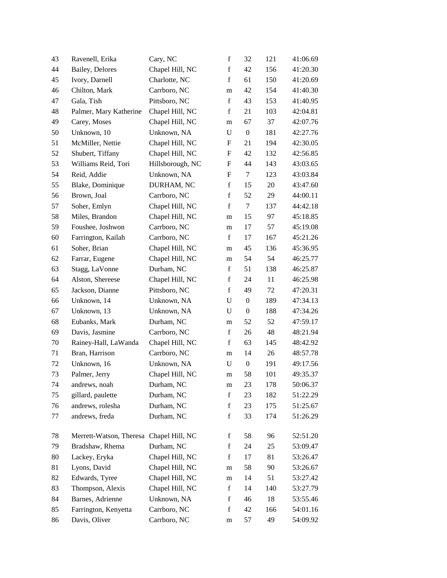| 43 | Ravenell, Erika                         | Cary, NC         | $\mathbf f$               | 32               | 121 | 41:06.69 |
|----|-----------------------------------------|------------------|---------------------------|------------------|-----|----------|
| 44 | Bailey, Delores                         | Chapel Hill, NC  | $\mathbf f$               | 42               | 156 | 41:20.30 |
| 45 | Ivory, Darnell                          | Charlotte, NC    | $\mathbf f$               | 61               | 150 | 41:20.69 |
| 46 | Chilton, Mark                           | Carrboro, NC     | m                         | 42               | 154 | 41:40.30 |
| 47 | Gala, Tish                              | Pittsboro, NC    | $\mathbf f$               | 43               | 153 | 41:40.95 |
| 48 | Palmer, Mary Katherine                  | Chapel Hill, NC  | $\mathbf f$               | 21               | 103 | 42:04.81 |
| 49 | Carey, Moses                            | Chapel Hill, NC  | m                         | 67               | 37  | 42:07.76 |
| 50 | Unknown, 10                             | Unknown, NA      | $\mathbf U$               | $\boldsymbol{0}$ | 181 | 42:27.76 |
| 51 | McMiller, Nettie                        | Chapel Hill, NC  | F                         | 21               | 194 | 42:30.05 |
| 52 | Shubert, Tiffany                        | Chapel Hill, NC  | $\boldsymbol{\mathrm{F}}$ | 42               | 132 | 42:56.85 |
| 53 | Williams Reid, Tori                     | Hillsborough, NC | $\boldsymbol{\mathrm{F}}$ | 44               | 143 | 43:03.65 |
| 54 | Reid, Addie                             | Unknown, NA      | F                         | $\tau$           | 123 | 43:03.84 |
| 55 | Blake, Dominique                        | DURHAM, NC       | $\mathbf f$               | 15               | 20  | 43:47.60 |
| 56 | Brown, Joal                             | Carrboro, NC     | $\mathbf f$               | 52               | 29  | 44:00.11 |
| 57 | Soher, Emlyn                            | Chapel Hill, NC  | $\mathbf f$               | $\tau$           | 137 | 44:42.18 |
| 58 | Miles, Brandon                          | Chapel Hill, NC  | m                         | 15               | 97  | 45:18.85 |
| 59 | Foushee, Joshwon                        | Carrboro, NC     | m                         | 17               | 57  | 45:19.08 |
| 60 | Farrington, Kailah                      | Carrboro, NC     | $\mathbf f$               | 17               | 167 | 45:21.26 |
| 61 | Soher, Brian                            | Chapel Hill, NC  | m                         | 45               | 136 | 45:36.95 |
| 62 | Farrar, Eugene                          | Chapel Hill, NC  | m                         | 54               | 54  | 46:25.77 |
| 63 | Stagg, LaVonne                          | Durham, NC       | $\mathbf f$               | 51               | 138 | 46:25.87 |
| 64 | Alston, Shereese                        | Chapel Hill, NC  | $\mathbf f$               | 24               | 11  | 46:25.98 |
| 65 | Jackson, Dianne                         | Pittsboro, NC    | $\mathbf f$               | 49               | 72  | 47:20.31 |
| 66 | Unknown, 14                             | Unknown, NA      | $\mathbf U$               | $\boldsymbol{0}$ | 189 | 47:34.13 |
| 67 | Unknown, 13                             | Unknown, NA      | ${\bf U}$                 | $\boldsymbol{0}$ | 188 | 47:34.26 |
| 68 | Eubanks, Mark                           | Durham, NC       | ${\rm m}$                 | 52               | 52  | 47:59.17 |
| 69 | Davis, Jasmine                          | Carrboro, NC     | $\mathbf f$               | 26               | 48  | 48:21.94 |
| 70 | Rainey-Hall, LaWanda                    | Chapel Hill, NC  | $\mathbf f$               | 63               | 145 | 48:42.92 |
| 71 | Bran, Harrison                          | Carrboro, NC     | m                         | 14               | 26  | 48:57.78 |
| 72 | Unknown, 16                             | Unknown, NA      | U                         | $\boldsymbol{0}$ | 191 | 49:17.56 |
| 73 | Palmer, Jerry                           | Chapel Hill, NC  | m                         | 58               | 101 | 49:35.37 |
| 74 | andrews, noah                           | Durham, NC       | m                         | 23               | 178 | 50:06.37 |
| 75 | gillard, paulette                       | Durham, NC       | $\mathbf f$               | 23               | 182 | 51:22.29 |
| 76 | andrews, rolesha                        | Durham, NC       | $\mathbf f$               | 23               | 175 | 51:25.67 |
| 77 | andrews, freda                          | Durham, NC       | $\mathbf f$               | 33               | 174 | 51:26.29 |
| 78 | Merrett-Watson, Theresa Chapel Hill, NC |                  | $f_{\rm}$                 | 58               | 96  | 52:51.20 |
| 79 | Bradshaw, Rhema                         | Durham, NC       | $\mathbf f$               | 24               | 25  | 53:09.47 |
| 80 | Lackey, Eryka                           | Chapel Hill, NC  | $\mathbf f$               | 17               | 81  | 53:26.47 |
| 81 | Lyons, David                            | Chapel Hill, NC  | m                         | 58               | 90  | 53:26.67 |
| 82 | Edwards, Tyree                          | Chapel Hill, NC  | m                         | 14               | 51  | 53:27.42 |
| 83 | Thompson, Alexis                        | Chapel Hill, NC  | $\mathbf f$               | 14               | 140 | 53:27.79 |
| 84 | Barnes, Adrienne                        | Unknown, NA      | $\mathbf f$               | 46               | 18  | 53:55.46 |
| 85 | Farrington, Kenyetta                    | Carrboro, NC     | $\mathbf f$               | 42               | 166 | 54:01.16 |
| 86 | Davis, Oliver                           | Carrboro, NC     | m                         | 57               | 49  | 54:09.92 |